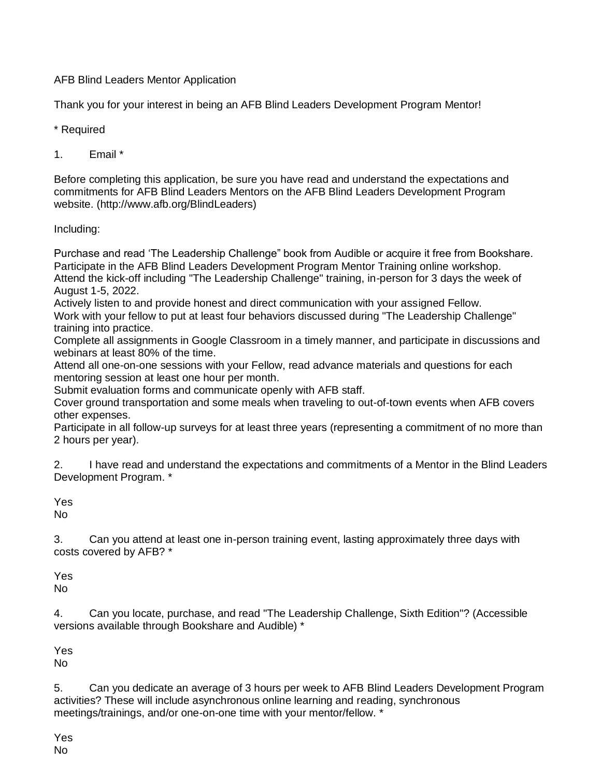## AFB Blind Leaders Mentor Application

Thank you for your interest in being an AFB Blind Leaders Development Program Mentor!

## \* Required

## 1. Email \*

Before completing this application, be sure you have read and understand the expectations and commitments for AFB Blind Leaders Mentors on the AFB Blind Leaders Development Program website. (http://www.afb.org/BlindLeaders)

## Including:

Purchase and read 'The Leadership Challenge" book from Audible or acquire it free from Bookshare. Participate in the AFB Blind Leaders Development Program Mentor Training online workshop. Attend the kick-off including "The Leadership Challenge" training, in-person for 3 days the week of August 1-5, 2022.

Actively listen to and provide honest and direct communication with your assigned Fellow. Work with your fellow to put at least four behaviors discussed during "The Leadership Challenge" training into practice.

Complete all assignments in Google Classroom in a timely manner, and participate in discussions and webinars at least 80% of the time.

Attend all one-on-one sessions with your Fellow, read advance materials and questions for each mentoring session at least one hour per month.

Submit evaluation forms and communicate openly with AFB staff.

Cover ground transportation and some meals when traveling to out-of-town events when AFB covers other expenses.

Participate in all follow-up surveys for at least three years (representing a commitment of no more than 2 hours per year).

2. I have read and understand the expectations and commitments of a Mentor in the Blind Leaders Development Program. \*

# Yes

No

3. Can you attend at least one in-person training event, lasting approximately three days with costs covered by AFB? \*

Yes

No

4. Can you locate, purchase, and read "The Leadership Challenge, Sixth Edition"? (Accessible versions available through Bookshare and Audible) \*

Yes

No

5. Can you dedicate an average of 3 hours per week to AFB Blind Leaders Development Program activities? These will include asynchronous online learning and reading, synchronous meetings/trainings, and/or one-on-one time with your mentor/fellow. \*

Yes No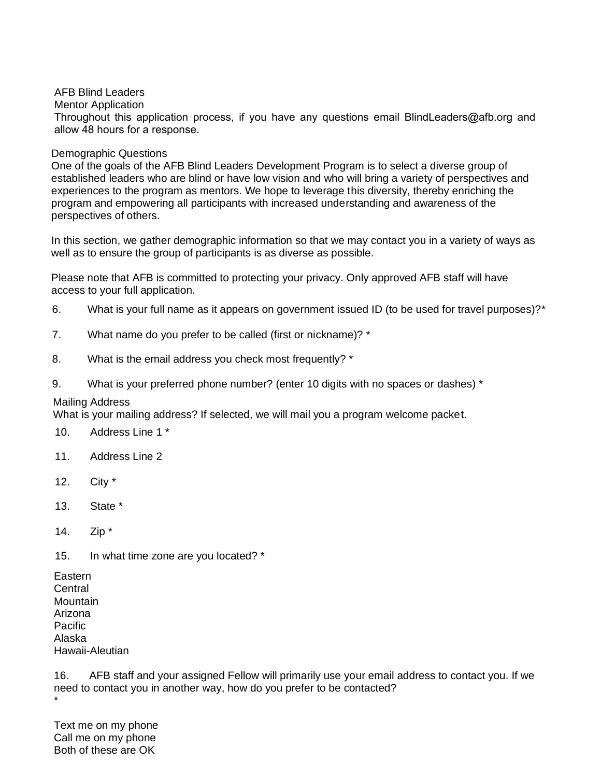AFB Blind Leaders

Mentor Application

Throughout this application process, if you have any questions email BlindLeaders@afb.org and allow 48 hours for a response.

### Demographic Questions

One of the goals of the AFB Blind Leaders Development Program is to select a diverse group of established leaders who are blind or have low vision and who will bring a variety of perspectives and experiences to the program as mentors. We hope to leverage this diversity, thereby enriching the program and empowering all participants with increased understanding and awareness of the perspectives of others.

In this section, we gather demographic information so that we may contact you in a variety of ways as well as to ensure the group of participants is as diverse as possible.

Please note that AFB is committed to protecting your privacy. Only approved AFB staff will have access to your full application.

- 6. What is your full name as it appears on government issued ID (to be used for travel purposes)?\*
- 7. What name do you prefer to be called (first or nickname)? \*
- 8. What is the email address you check most frequently? \*
- 9. What is your preferred phone number? (enter 10 digits with no spaces or dashes) \*

### Mailing Address

What is your mailing address? If selected, we will mail you a program welcome packet.

- 10. Address Line 1 \*
- 11. Address Line 2
- 12. City \*
- 13. State \*
- 14. Zip \*
- 15. In what time zone are you located? \*

Eastern **Central Mountain** Arizona **Pacific** Alaska Hawaii-Aleutian

16. AFB staff and your assigned Fellow will primarily use your email address to contact you. If we need to contact you in another way, how do you prefer to be contacted? \*

Text me on my phone Call me on my phone Both of these are OK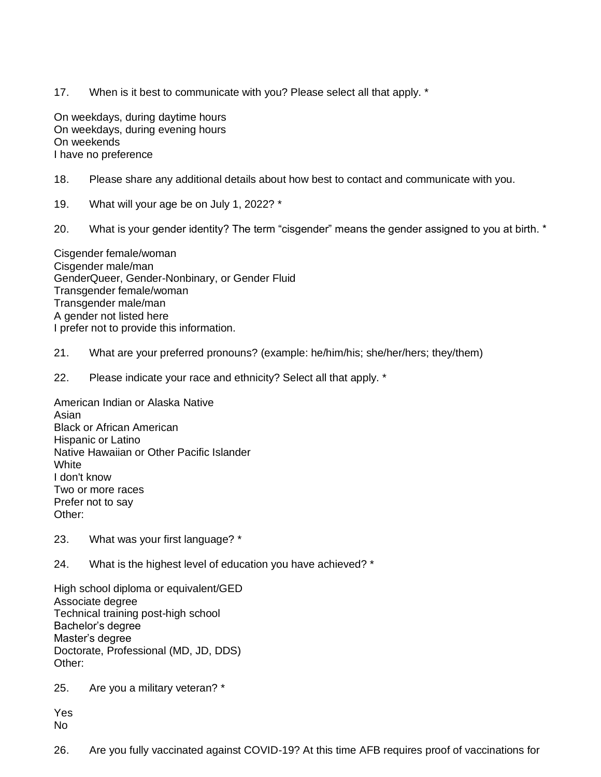17. When is it best to communicate with you? Please select all that apply. \*

On weekdays, during daytime hours On weekdays, during evening hours On weekends I have no preference

- 18. Please share any additional details about how best to contact and communicate with you.
- 19. What will your age be on July 1, 2022? \*
- 20. What is your gender identity? The term "cisgender" means the gender assigned to you at birth. \*

Cisgender female/woman Cisgender male/man GenderQueer, Gender-Nonbinary, or Gender Fluid Transgender female/woman Transgender male/man A gender not listed here I prefer not to provide this information.

- 21. What are your preferred pronouns? (example: he/him/his; she/her/hers; they/them)
- 22. Please indicate your race and ethnicity? Select all that apply. \*

American Indian or Alaska Native Asian Black or African American Hispanic or Latino Native Hawaiian or Other Pacific Islander **White** I don't know Two or more races Prefer not to say Other:

23. What was your first language? \*

24. What is the highest level of education you have achieved? \*

High school diploma or equivalent/GED Associate degree Technical training post-high school Bachelor's degree Master's degree Doctorate, Professional (MD, JD, DDS) Other:

25. Are you a military veteran? \*

Yes No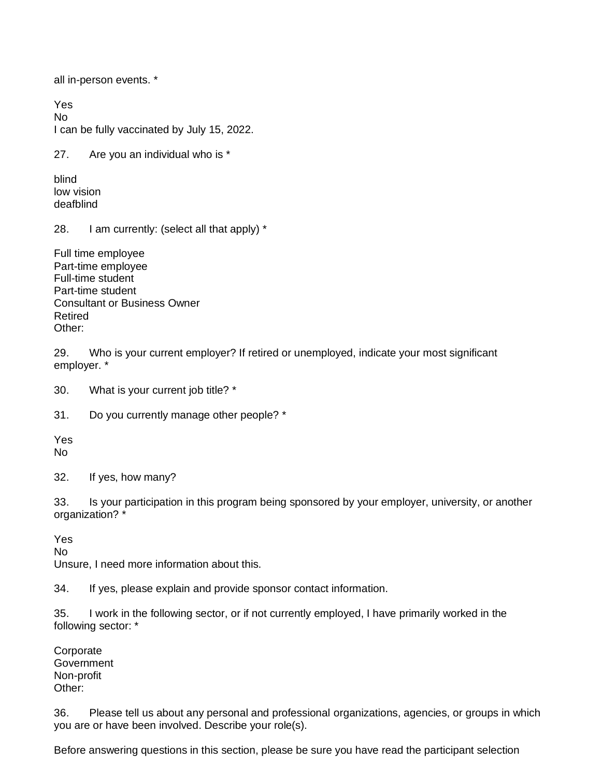all in-person events. \*

Yes No I can be fully vaccinated by July 15, 2022.

27. Are you an individual who is \*

blind low vision deafblind

28. I am currently: (select all that apply)  $*$ 

Full time employee Part-time employee Full-time student Part-time student Consultant or Business Owner Retired Other:

29. Who is your current employer? If retired or unemployed, indicate your most significant employer. \*

30. What is your current job title? \*

31. Do you currently manage other people? \*

Yes

No

32. If yes, how many?

33. Is your participation in this program being sponsored by your employer, university, or another organization? \*

### Yes

No

Unsure, I need more information about this.

34. If yes, please explain and provide sponsor contact information.

35. I work in the following sector, or if not currently employed, I have primarily worked in the following sector: \*

**Corporate Government** Non-profit Other:

36. Please tell us about any personal and professional organizations, agencies, or groups in which you are or have been involved. Describe your role(s).

Before answering questions in this section, please be sure you have read the participant selection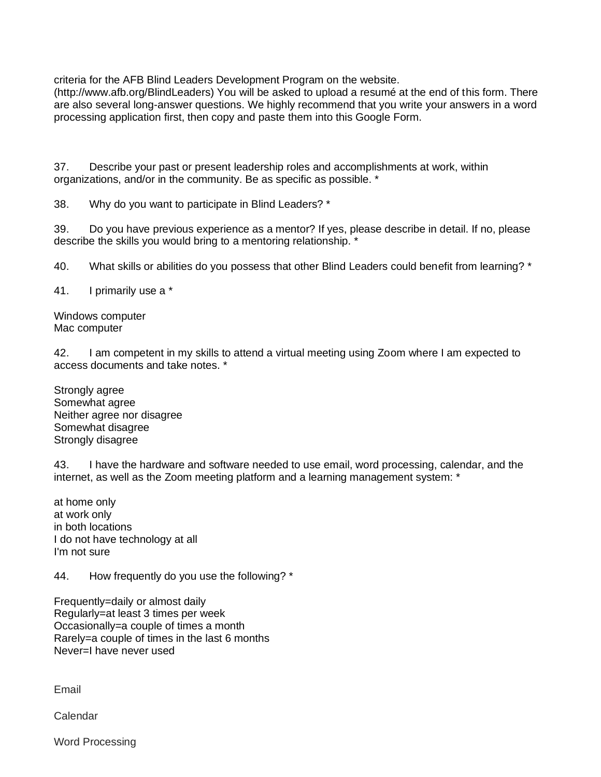criteria for the AFB Blind Leaders Development Program on the website.

(http://www.afb.org/BlindLeaders) You will be asked to upload a resumé at the end of this form. There are also several long-answer questions. We highly recommend that you write your answers in a word processing application first, then copy and paste them into this Google Form.

37. Describe your past or present leadership roles and accomplishments at work, within organizations, and/or in the community. Be as specific as possible. \*

38. Why do you want to participate in Blind Leaders? \*

39. Do you have previous experience as a mentor? If yes, please describe in detail. If no, please describe the skills you would bring to a mentoring relationship. \*

40. What skills or abilities do you possess that other Blind Leaders could benefit from learning? \*

41. I primarily use a \*

Windows computer Mac computer

42. I am competent in my skills to attend a virtual meeting using Zoom where I am expected to access documents and take notes. \*

Strongly agree Somewhat agree Neither agree nor disagree Somewhat disagree Strongly disagree

43. I have the hardware and software needed to use email, word processing, calendar, and the internet, as well as the Zoom meeting platform and a learning management system: \*

at home only at work only in both locations I do not have technology at all I'm not sure

44. How frequently do you use the following? \*

Frequently=daily or almost daily Regularly=at least 3 times per week Occasionally=a couple of times a month Rarely=a couple of times in the last 6 months Never=I have never used

Email

Calendar

Word Processing